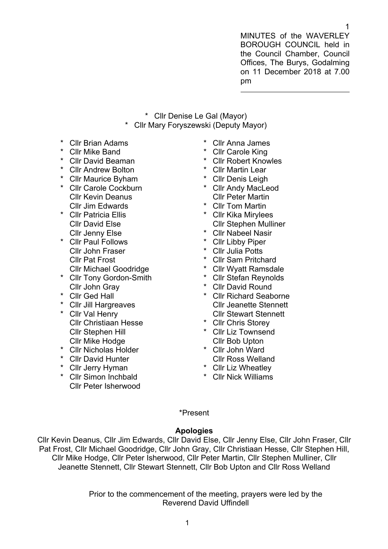MINUTES of the WAVERLEY BOROUGH COUNCIL held in the Council Chamber, Council Offices, The Burys, Godalming on 11 December 2018 at 7.00 pm

- \* Cllr Denise Le Gal (Mayor)
- \* Cllr Mary Foryszewski (Deputy Mayor)
- **Cllr Brian Adams**
- \* Cllr Mike Band
- \* Cllr David Beaman
- \* Cllr Andrew Bolton
- \* Cllr Maurice Byham \* Cllr Carole Cockburn
- Cllr Kevin Deanus Cllr Jim Edwards
- \* Cllr Patricia Ellis Cllr David Else Cllr Jenny Else
- \* Cllr Paul Follows Cllr John Fraser Cllr Pat Frost Cllr Michael Goodridge
- \* Cllr Tony Gordon-Smith
- Cllr John Gray
- \* Cllr Ged Hall
- \* Cllr Jill Hargreaves
- \* Cllr Val Henry Cllr Christiaan Hesse Cllr Stephen Hill Cllr Mike Hodge
- \* Cllr Nicholas Holder
- \* Cllr David Hunter
- \* Cllr Jerry Hyman
- \* Cllr Simon Inchbald Cllr Peter Isherwood
- \* Cllr Anna James
- **Cllr Carole King**
- \* Cllr Robert Knowles
- \* Cllr Martin Lear
- \* Cllr Denis Leigh
- \* Cllr Andy MacLeod Cllr Peter Martin
- \* Cllr Tom Martin
- \* Cllr Kika Mirylees Cllr Stephen Mulliner
- \* Cllr Nabeel Nasir
- \* Cllr Libby Piper
- \* Cllr Julia Potts
- \* Cllr Sam Pritchard
- \* Cllr Wyatt Ramsdale
- \* Cllr Stefan Reynolds
- \* Cllr David Round
- \* Cllr Richard Seaborne Cllr Jeanette Stennett Cllr Stewart Stennett
- \* Cllr Chris Storey
- \* Cllr Liz Townsend Cllr Bob Upton
- \* Cllr John Ward Cllr Ross Welland
- \* Cllr Liz Wheatley
- \* Cllr Nick Williams

# \*Present

## **Apologies**

Cllr Kevin Deanus, Cllr Jim Edwards, Cllr David Else, Cllr Jenny Else, Cllr John Fraser, Cllr Pat Frost, Cllr Michael Goodridge, Cllr John Gray, Cllr Christiaan Hesse, Cllr Stephen Hill, Cllr Mike Hodge, Cllr Peter Isherwood, Cllr Peter Martin, Cllr Stephen Mulliner, Cllr Jeanette Stennett, Cllr Stewart Stennett, Cllr Bob Upton and Cllr Ross Welland

> Prior to the commencement of the meeting, prayers were led by the Reverend David Uffindell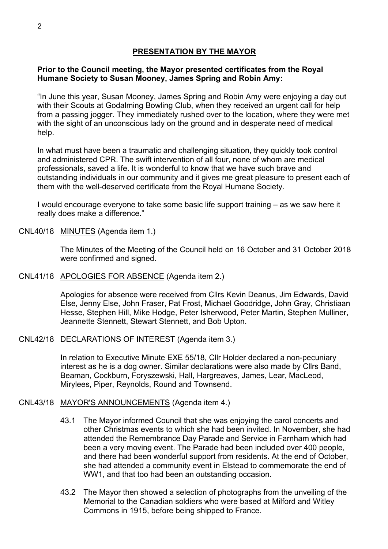## **PRESENTATION BY THE MAYOR**

#### **Prior to the Council meeting, the Mayor presented certificates from the Royal Humane Society to Susan Mooney, James Spring and Robin Amy:**

"In June this year, Susan Mooney, James Spring and Robin Amy were enjoying a day out with their Scouts at Godalming Bowling Club, when they received an urgent call for help from a passing jogger. They immediately rushed over to the location, where they were met with the sight of an unconscious lady on the ground and in desperate need of medical help.

In what must have been a traumatic and challenging situation, they quickly took control and administered CPR. The swift intervention of all four, none of whom are medical professionals, saved a life. It is wonderful to know that we have such brave and outstanding individuals in our community and it gives me great pleasure to present each of them with the well-deserved certificate from the Royal Humane Society.

I would encourage everyone to take some basic life support training – as we saw here it really does make a difference."

CNL40/18 MINUTES (Agenda item 1.)

The Minutes of the Meeting of the Council held on 16 October and 31 October 2018 were confirmed and signed.

CNL41/18 APOLOGIES FOR ABSENCE (Agenda item 2.)

Apologies for absence were received from Cllrs Kevin Deanus, Jim Edwards, David Else, Jenny Else, John Fraser, Pat Frost, Michael Goodridge, John Gray, Christiaan Hesse, Stephen Hill, Mike Hodge, Peter Isherwood, Peter Martin, Stephen Mulliner, Jeannette Stennett, Stewart Stennett, and Bob Upton.

CNL42/18 DECLARATIONS OF INTEREST (Agenda item 3.)

In relation to Executive Minute EXE 55/18, Cllr Holder declared a non-pecuniary interest as he is a dog owner. Similar declarations were also made by Cllrs Band, Beaman, Cockburn, Foryszewski, Hall, Hargreaves, James, Lear, MacLeod, Mirylees, Piper, Reynolds, Round and Townsend.

#### CNL43/18 MAYOR'S ANNOUNCEMENTS (Agenda item 4.)

- 43.1 The Mayor informed Council that she was enjoying the carol concerts and other Christmas events to which she had been invited. In November, she had attended the Remembrance Day Parade and Service in Farnham which had been a very moving event. The Parade had been included over 400 people, and there had been wonderful support from residents. At the end of October, she had attended a community event in Elstead to commemorate the end of WW1, and that too had been an outstanding occasion.
- 43.2 The Mayor then showed a selection of photographs from the unveiling of the Memorial to the Canadian soldiers who were based at Milford and Witley Commons in 1915, before being shipped to France.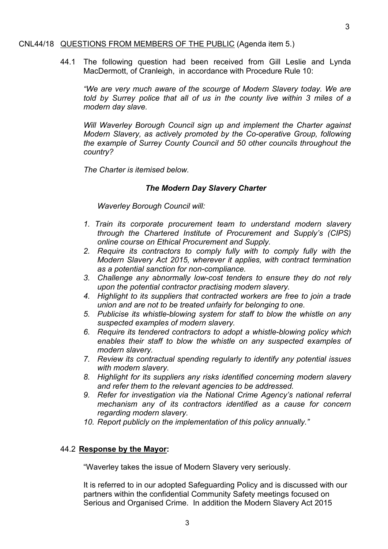#### CNL44/18 QUESTIONS FROM MEMBERS OF THE PUBLIC (Agenda item 5.)

44.1 The following question had been received from Gill Leslie and Lynda MacDermott, of Cranleigh, in accordance with Procedure Rule 10:

*"We are very much aware of the scourge of Modern Slavery today. We are told by Surrey police that all of us in the county live within 3 miles of a modern day slave.*

*Will Waverley Borough Council sign up and implement the Charter against Modern Slavery, as actively promoted by the Co-operative Group, following the example of Surrey County Council and 50 other councils throughout the country?*

*The Charter is itemised below.*

#### *The Modern Day Slavery Charter*

*Waverley Borough Council will:*

- *1. Train its corporate procurement team to understand modern slavery through the Chartered Institute of Procurement and Supply's (CIPS) online course on Ethical Procurement and Supply.*
- *2. Require its contractors to comply fully with to comply fully with the Modern Slavery Act 2015, wherever it applies, with contract termination as a potential sanction for non-compliance.*
- *3. Challenge any abnormally low-cost tenders to ensure they do not rely upon the potential contractor practising modern slavery.*
- *4. Highlight to its suppliers that contracted workers are free to join a trade union and are not to be treated unfairly for belonging to one.*
- *5. Publicise its whistle-blowing system for staff to blow the whistle on any suspected examples of modern slavery.*
- *6. Require its tendered contractors to adopt a whistle-blowing policy which enables their staff to blow the whistle on any suspected examples of modern slavery.*
- *7. Review its contractual spending regularly to identify any potential issues with modern slavery.*
- *8. Highlight for its suppliers any risks identified concerning modern slavery and refer them to the relevant agencies to be addressed.*
- *9. Refer for investigation via the National Crime Agency's national referral mechanism any of its contractors identified as a cause for concern regarding modern slavery.*
- *10. Report publicly on the implementation of this policy annually."*

#### 44.2 **Response by the Mayor:**

"Waverley takes the issue of Modern Slavery very seriously.

It is referred to in our adopted Safeguarding Policy and is discussed with our partners within the confidential Community Safety meetings focused on Serious and Organised Crime. In addition the Modern Slavery Act 2015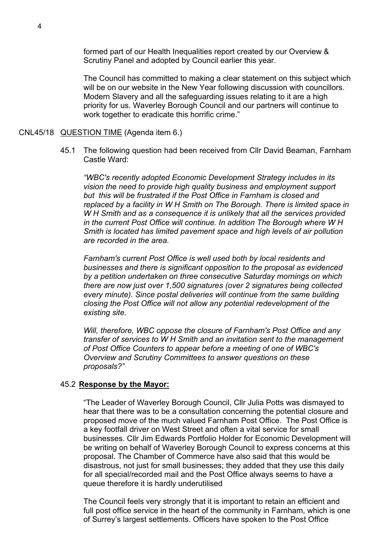formed part of our Health Inequalities report created by our Overview & Scrutiny Panel and adopted by Council earlier this year.

The Council has committed to making a clear statement on this subject which will be on our website in the New Year following discussion with councillors. Modern Slavery and all the safeguarding issues relating to it are a high priority for us. Waverley Borough Council and our partners will continue to work together to eradicate this horrific crime."

#### CNL45/18 QUESTION TIME (Agenda item 6.)

45.1 The following question had been received from Cllr David Beaman, Farnham Castle Ward:

*"WBC's recently adopted Economic Development Strategy includes in its vision the need to provide high quality business and employment support but this will be frustrated if the Post Office in Farnham is closed and replaced by a facility in W H Smith on The Borough. There is limited space in W H Smith and as a consequence it is unlikely that all the services provided in the current Post Office will continue. In addition The Borough where W H Smith is located has limited pavement space and high levels of air pollution are recorded in the area.*

*Farnham's current Post Office is well used both by local residents and businesses and there is significant opposition to the proposal as evidenced by a petition undertaken on three consecutive Saturday mornings on which there are now just over 1,500 signatures (over 2 signatures being collected every minute). Since postal deliveries will continue from the same building closing the Post Office will not allow any potential redevelopment of the existing site.*

*Will, therefore, WBC oppose the closure of Farnham's Post Office and any transfer of services to W H Smith and an invitation sent to the management of Post Office Counters to appear before a meeting of one of WBC's Overview and Scrutiny Committees to answer questions on these proposals?"*

#### 45.2 **Response by the Mayor:**

"The Leader of Waverley Borough Council, Cllr Julia Potts was dismayed to hear that there was to be a consultation concerning the potential closure and proposed move of the much valued Farnham Post Office. The Post Office is a key footfall driver on West Street and often a vital service for small businesses. Cllr Jim Edwards Portfolio Holder for Economic Development will be writing on behalf of Waverley Borough Council to express concerns at this proposal. The Chamber of Commerce have also said that this would be disastrous, not just for small businesses; they added that they use this daily for all special/recorded mail and the Post Office always seems to have a queue therefore it is hardly underutilised

The Council feels very strongly that it is important to retain an efficient and full post office service in the heart of the community in Farnham, which is one of Surrey's largest settlements. Officers have spoken to the Post Office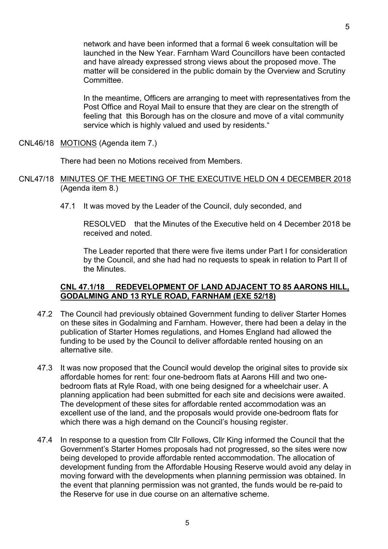network and have been informed that a formal 6 week consultation will be launched in the New Year. Farnham Ward Councillors have been contacted and have already expressed strong views about the proposed move. The matter will be considered in the public domain by the Overview and Scrutiny **Committee.** 

In the meantime, Officers are arranging to meet with representatives from the Post Office and Royal Mail to ensure that they are clear on the strength of feeling that this Borough has on the closure and move of a vital community service which is highly valued and used by residents."

CNL46/18 MOTIONS (Agenda item 7.)

There had been no Motions received from Members.

- CNL47/18 MINUTES OF THE MEETING OF THE EXECUTIVE HELD ON 4 DECEMBER 2018 (Agenda item 8.)
	- 47.1 It was moved by the Leader of the Council, duly seconded, and

RESOLVED that the Minutes of the Executive held on 4 December 2018 be received and noted.

The Leader reported that there were five items under Part I for consideration by the Council, and she had had no requests to speak in relation to Part II of the Minutes.

#### **CNL 47.1/18 REDEVELOPMENT OF LAND ADJACENT TO 85 AARONS HILL, GODALMING AND 13 RYLE ROAD, FARNHAM (EXE 52/18)**

- 47.2 The Council had previously obtained Government funding to deliver Starter Homes on these sites in Godalming and Farnham. However, there had been a delay in the publication of Starter Homes regulations, and Homes England had allowed the funding to be used by the Council to deliver affordable rented housing on an alternative site.
- 47.3 It was now proposed that the Council would develop the original sites to provide six affordable homes for rent: four one-bedroom flats at Aarons Hill and two onebedroom flats at Ryle Road, with one being designed for a wheelchair user. A planning application had been submitted for each site and decisions were awaited. The development of these sites for affordable rented accommodation was an excellent use of the land, and the proposals would provide one-bedroom flats for which there was a high demand on the Council's housing register.
- 47.4 In response to a question from Cllr Follows, Cllr King informed the Council that the Government's Starter Homes proposals had not progressed, so the sites were now being developed to provide affordable rented accommodation. The allocation of development funding from the Affordable Housing Reserve would avoid any delay in moving forward with the developments when planning permission was obtained. In the event that planning permission was not granted, the funds would be re-paid to the Reserve for use in due course on an alternative scheme.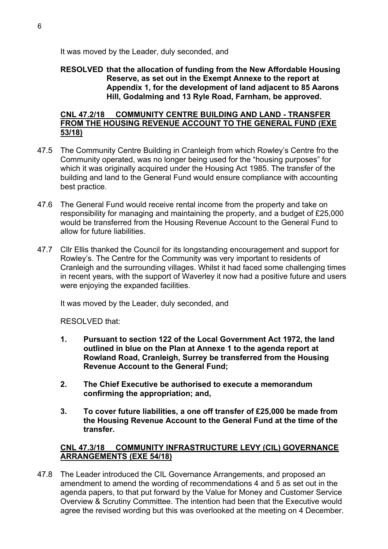It was moved by the Leader, duly seconded, and

#### **RESOLVED that the allocation of funding from the New Affordable Housing Reserve, as set out in the Exempt Annexe to the report at Appendix 1, for the development of land adjacent to 85 Aarons Hill, Godalming and 13 Ryle Road, Farnham, be approved.**

#### **CNL 47.2/18 COMMUNITY CENTRE BUILDING AND LAND - TRANSFER FROM THE HOUSING REVENUE ACCOUNT TO THE GENERAL FUND (EXE 53/18)**

- 47.5 The Community Centre Building in Cranleigh from which Rowley's Centre fro the Community operated, was no longer being used for the "housing purposes" for which it was originally acquired under the Housing Act 1985. The transfer of the building and land to the General Fund would ensure compliance with accounting best practice.
- 47.6 The General Fund would receive rental income from the property and take on responsibility for managing and maintaining the property, and a budget of £25,000 would be transferred from the Housing Revenue Account to the General Fund to allow for future liabilities.
- 47.7 Cllr Ellis thanked the Council for its longstanding encouragement and support for Rowley's. The Centre for the Community was very important to residents of Cranleigh and the surrounding villages. Whilst it had faced some challenging times in recent years, with the support of Waverley it now had a positive future and users were enjoying the expanded facilities.

It was moved by the Leader, duly seconded, and

RESOLVED that:

- **1. Pursuant to section 122 of the Local Government Act 1972, the land outlined in blue on the Plan at Annexe 1 to the agenda report at Rowland Road, Cranleigh, Surrey be transferred from the Housing Revenue Account to the General Fund;**
- **2. The Chief Executive be authorised to execute a memorandum confirming the appropriation; and,**
- **3. To cover future liabilities, a one off transfer of £25,000 be made from the Housing Revenue Account to the General Fund at the time of the transfer.**

## **CNL 47.3/18 COMMUNITY INFRASTRUCTURE LEVY (CIL) GOVERNANCE ARRANGEMENTS (EXE 54/18)**

47.8 The Leader introduced the CIL Governance Arrangements, and proposed an amendment to amend the wording of recommendations 4 and 5 as set out in the agenda papers, to that put forward by the Value for Money and Customer Service Overview & Scrutiny Committee. The intention had been that the Executive would agree the revised wording but this was overlooked at the meeting on 4 December.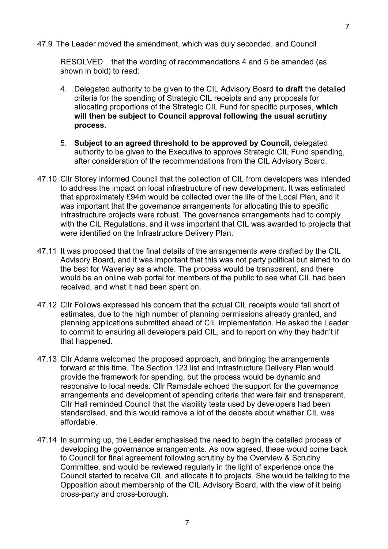47.9 The Leader moved the amendment, which was duly seconded, and Council

RESOLVED that the wording of recommendations 4 and 5 be amended (as shown in bold) to read:

- 4. Delegated authority to be given to the CIL Advisory Board **to draft** the detailed criteria for the spending of Strategic CIL receipts and any proposals for allocating proportions of the Strategic CIL Fund for specific purposes, **which will then be subject to Council approval following the usual scrutiny process**.
- 5. **Subject to an agreed threshold to be approved by Council,** delegated authority to be given to the Executive to approve Strategic CIL Fund spending, after consideration of the recommendations from the CIL Advisory Board.
- 47.10 Cllr Storey informed Council that the collection of CIL from developers was intended to address the impact on local infrastructure of new development. It was estimated that approximately £94m would be collected over the life of the Local Plan, and it was important that the governance arrangements for allocating this to specific infrastructure projects were robust. The governance arrangements had to comply with the CIL Regulations, and it was important that CIL was awarded to projects that were identified on the Infrastructure Delivery Plan.
- 47.11 It was proposed that the final details of the arrangements were drafted by the CIL Advisory Board, and it was important that this was not party political but aimed to do the best for Waverley as a whole. The process would be transparent, and there would be an online web portal for members of the public to see what CIL had been received, and what it had been spent on.
- 47.12 Cllr Follows expressed his concern that the actual CIL receipts would fall short of estimates, due to the high number of planning permissions already granted, and planning applications submitted ahead of CIL implementation. He asked the Leader to commit to ensuring all developers paid CIL, and to report on why they hadn't if that happened.
- 47.13 Cllr Adams welcomed the proposed approach, and bringing the arrangements forward at this time. The Section 123 list and Infrastructure Delivery Plan would provide the framework for spending, but the process would be dynamic and responsive to local needs. Cllr Ramsdale echoed the support for the governance arrangements and development of spending criteria that were fair and transparent. Cllr Hall reminded Council that the viability tests used by developers had been standardised, and this would remove a lot of the debate about whether CIL was affordable.
- 47.14 In summing up, the Leader emphasised the need to begin the detailed process of developing the governance arrangements. As now agreed, these would come back to Council for final agreement following scrutiny by the Overview & Scrutiny Committee, and would be reviewed regularly in the light of experience once the Council started to receive CIL and allocate it to projects. She would be talking to the Opposition about membership of the CIL Advisory Board, with the view of it being cross-party and cross-borough.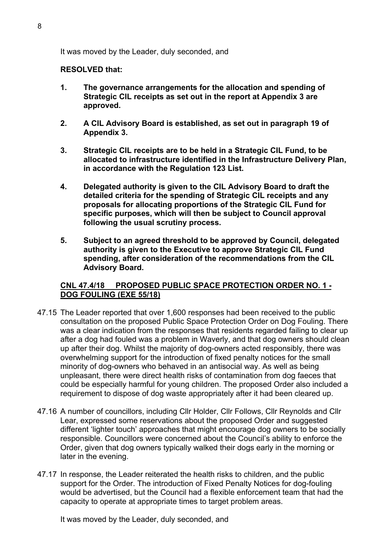It was moved by the Leader, duly seconded, and

#### **RESOLVED that:**

- **1. The governance arrangements for the allocation and spending of Strategic CIL receipts as set out in the report at Appendix 3 are approved.**
- **2. A CIL Advisory Board is established, as set out in paragraph 19 of Appendix 3.**
- **3. Strategic CIL receipts are to be held in a Strategic CIL Fund, to be allocated to infrastructure identified in the Infrastructure Delivery Plan, in accordance with the Regulation 123 List.**
- **4. Delegated authority is given to the CIL Advisory Board to draft the detailed criteria for the spending of Strategic CIL receipts and any proposals for allocating proportions of the Strategic CIL Fund for specific purposes, which will then be subject to Council approval following the usual scrutiny process.**
- **5. Subject to an agreed threshold to be approved by Council, delegated authority is given to the Executive to approve Strategic CIL Fund spending, after consideration of the recommendations from the CIL Advisory Board.**

## **CNL 47.4/18 PROPOSED PUBLIC SPACE PROTECTION ORDER NO. 1 - DOG FOULING (EXE 55/18)**

- 47.15 The Leader reported that over 1,600 responses had been received to the public consultation on the proposed Public Space Protection Order on Dog Fouling. There was a clear indication from the responses that residents regarded failing to clear up after a dog had fouled was a problem in Waverly, and that dog owners should clean up after their dog. Whilst the majority of dog-owners acted responsibly, there was overwhelming support for the introduction of fixed penalty notices for the small minority of dog-owners who behaved in an antisocial way. As well as being unpleasant, there were direct health risks of contamination from dog faeces that could be especially harmful for young children. The proposed Order also included a requirement to dispose of dog waste appropriately after it had been cleared up.
- 47.16 A number of councillors, including Cllr Holder, Cllr Follows, Cllr Reynolds and Cllr Lear, expressed some reservations about the proposed Order and suggested different 'lighter touch' approaches that might encourage dog owners to be socially responsible. Councillors were concerned about the Council's ability to enforce the Order, given that dog owners typically walked their dogs early in the morning or later in the evening.
- 47.17 In response, the Leader reiterated the health risks to children, and the public support for the Order. The introduction of Fixed Penalty Notices for dog-fouling would be advertised, but the Council had a flexible enforcement team that had the capacity to operate at appropriate times to target problem areas.

It was moved by the Leader, duly seconded, and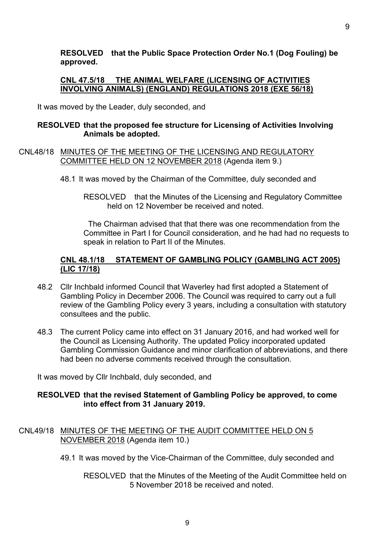## **CNL 47.5/18 THE ANIMAL WELFARE (LICENSING OF ACTIVITIES INVOLVING ANIMALS) (ENGLAND) REGULATIONS 2018 (EXE 56/18)**

It was moved by the Leader, duly seconded, and

### **RESOLVED that the proposed fee structure for Licensing of Activities Involving Animals be adopted.**

#### CNL48/18 MINUTES OF THE MEETING OF THE LICENSING AND REGULATORY COMMITTEE HELD ON 12 NOVEMBER 2018 (Agenda item 9.)

- 48.1 It was moved by the Chairman of the Committee, duly seconded and
	- RESOLVED that the Minutes of the Licensing and Regulatory Committee held on 12 November be received and noted.

The Chairman advised that that there was one recommendation from the Committee in Part I for Council consideration, and he had had no requests to speak in relation to Part II of the Minutes.

## **CNL 48.1/18 STATEMENT OF GAMBLING POLICY (GAMBLING ACT 2005) (LIC 17/18)**

- 48.2 Cllr Inchbald informed Council that Waverley had first adopted a Statement of Gambling Policy in December 2006. The Council was required to carry out a full review of the Gambling Policy every 3 years, including a consultation with statutory consultees and the public.
- 48.3 The current Policy came into effect on 31 January 2016, and had worked well for the Council as Licensing Authority. The updated Policy incorporated updated Gambling Commission Guidance and minor clarification of abbreviations, and there had been no adverse comments received through the consultation.

It was moved by Cllr Inchbald, duly seconded, and

## **RESOLVED that the revised Statement of Gambling Policy be approved, to come into effect from 31 January 2019.**

## CNL49/18 MINUTES OF THE MEETING OF THE AUDIT COMMITTEE HELD ON 5 NOVEMBER 2018 (Agenda item 10.)

49.1 It was moved by the Vice-Chairman of the Committee, duly seconded and

RESOLVED that the Minutes of the Meeting of the Audit Committee held on 5 November 2018 be received and noted.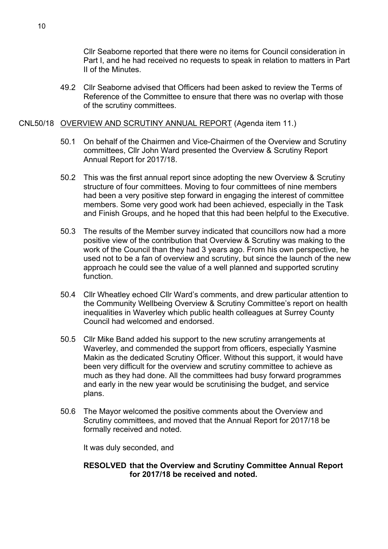Cllr Seaborne reported that there were no items for Council consideration in Part I, and he had received no requests to speak in relation to matters in Part II of the Minutes.

49.2 Cllr Seaborne advised that Officers had been asked to review the Terms of Reference of the Committee to ensure that there was no overlap with those of the scrutiny committees.

#### CNL50/18 OVERVIEW AND SCRUTINY ANNUAL REPORT (Agenda item 11.)

- 50.1 On behalf of the Chairmen and Vice-Chairmen of the Overview and Scrutiny committees, Cllr John Ward presented the Overview & Scrutiny Report Annual Report for 2017/18.
- 50.2 This was the first annual report since adopting the new Overview & Scrutiny structure of four committees. Moving to four committees of nine members had been a very positive step forward in engaging the interest of committee members. Some very good work had been achieved, especially in the Task and Finish Groups, and he hoped that this had been helpful to the Executive.
- 50.3 The results of the Member survey indicated that councillors now had a more positive view of the contribution that Overview & Scrutiny was making to the work of the Council than they had 3 years ago. From his own perspective, he used not to be a fan of overview and scrutiny, but since the launch of the new approach he could see the value of a well planned and supported scrutiny function.
- 50.4 Cllr Wheatley echoed Cllr Ward's comments, and drew particular attention to the Community Wellbeing Overview & Scrutiny Committee's report on health inequalities in Waverley which public health colleagues at Surrey County Council had welcomed and endorsed.
- 50.5 Cllr Mike Band added his support to the new scrutiny arrangements at Waverley, and commended the support from officers, especially Yasmine Makin as the dedicated Scrutiny Officer. Without this support, it would have been very difficult for the overview and scrutiny committee to achieve as much as they had done. All the committees had busy forward programmes and early in the new year would be scrutinising the budget, and service plans.
- 50.6 The Mayor welcomed the positive comments about the Overview and Scrutiny committees, and moved that the Annual Report for 2017/18 be formally received and noted.

It was duly seconded, and

#### **RESOLVED that the Overview and Scrutiny Committee Annual Report for 2017/18 be received and noted.**